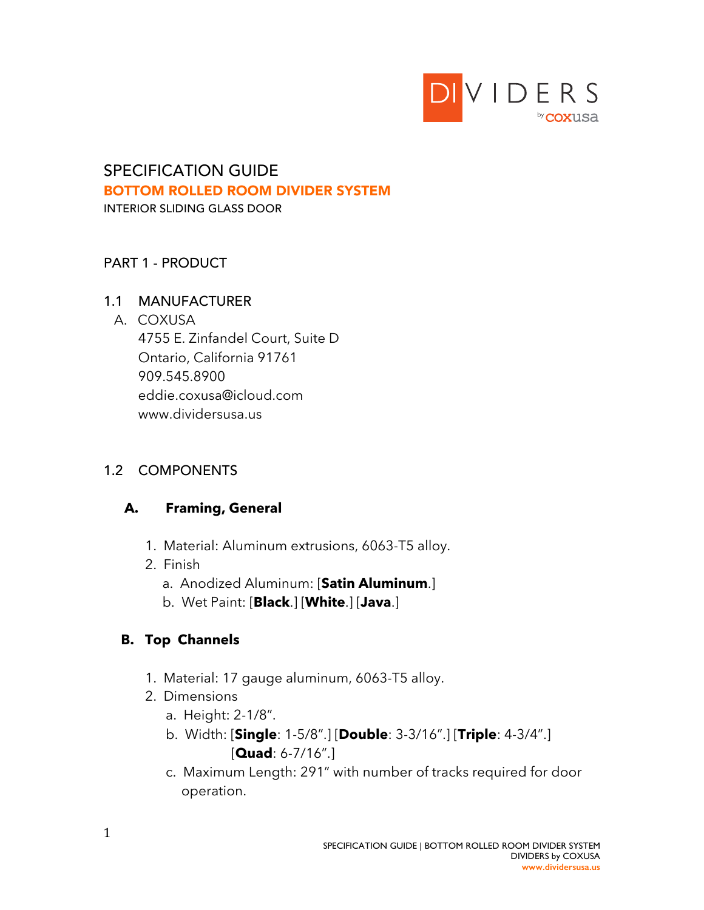

# SPECIFICATION GUIDE BOTTOM ROLLED ROOM DIVIDER SYSTEM

INTERIOR SLIDING GLASS DOOR

### PART 1 - PRODUCT

#### 1.1 MANUFACTURER

#### A. COXUSA

 4755 E. Zinfandel Court, Suite D Ontario, California 91761 909.545.8900 eddie.coxusa@icloud.com www.dividersusa.us

### 1.2 COMPONENTS

### **A. Framing, General**

- 1. Material: Aluminum extrusions, 6063-T5 alloy.
- 2. Finish
	- a. Anodized Aluminum: [**Satin Aluminum**.]
	- b. Wet Paint: [**Black**.] [**White**.] [**Java**.]

# **B. Top Channels**

- 1. Material: 17 gauge aluminum, 6063-T5 alloy.
- 2. Dimensions
	- a. Height: 2-1/8".
	- b. Width: [**Single**: 1-5/8".] [**Double**: 3-3/16".] [**Triple**: 4-3/4".] [**Quad**: 6-7/16".]
	- c. Maximum Length: 291" with number of tracks required for door operation.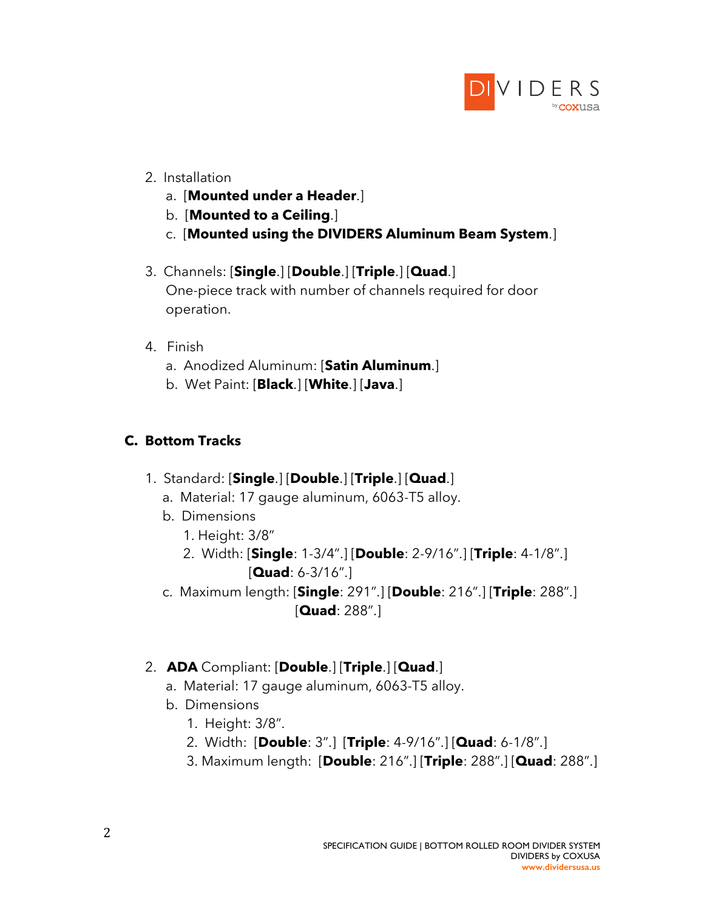

- 2. Installation
	- a. [**Mounted under a Header**.]
	- b. [**Mounted to a Ceiling**.]
	- c. [**Mounted using the DIVIDERS Aluminum Beam System**.]
- 3. Channels: [**Single**.] [**Double**.] [**Triple**.] [**Quad**.] One-piece track with number of channels required for door operation.
- 4. Finish
	- a. Anodized Aluminum: [**Satin Aluminum**.]
	- b. Wet Paint: [**Black**.] [**White**.] [**Java**.]

### **C. Bottom Tracks**

- 1. Standard: [**Single**.] [**Double**.] [**Triple**.] [**Quad**.]
	- a. Material: 17 gauge aluminum, 6063-T5 alloy.
	- b. Dimensions
		- 1. Height: 3/8"
		- 2. Width: [**Single**: 1-3/4".] [**Double**: 2-9/16".] [**Triple**: 4-1/8".] [**Quad**: 6-3/16".]
	- c. Maximum length: [**Single**: 291".] [**Double**: 216".] [**Triple**: 288".] [**Quad**: 288".]

### 2. **ADA** Compliant: [**Double**.] [**Triple**.] [**Quad**.]

- a. Material: 17 gauge aluminum, 6063-T5 alloy.
- b. Dimensions
	- 1. Height: 3/8".
	- 2. Width: [**Double**: 3".] [**Triple**: 4-9/16".] [**Quad**: 6-1/8".]
	- 3. Maximum length: [**Double**: 216".] [**Triple**: 288".] [**Quad**: 288".]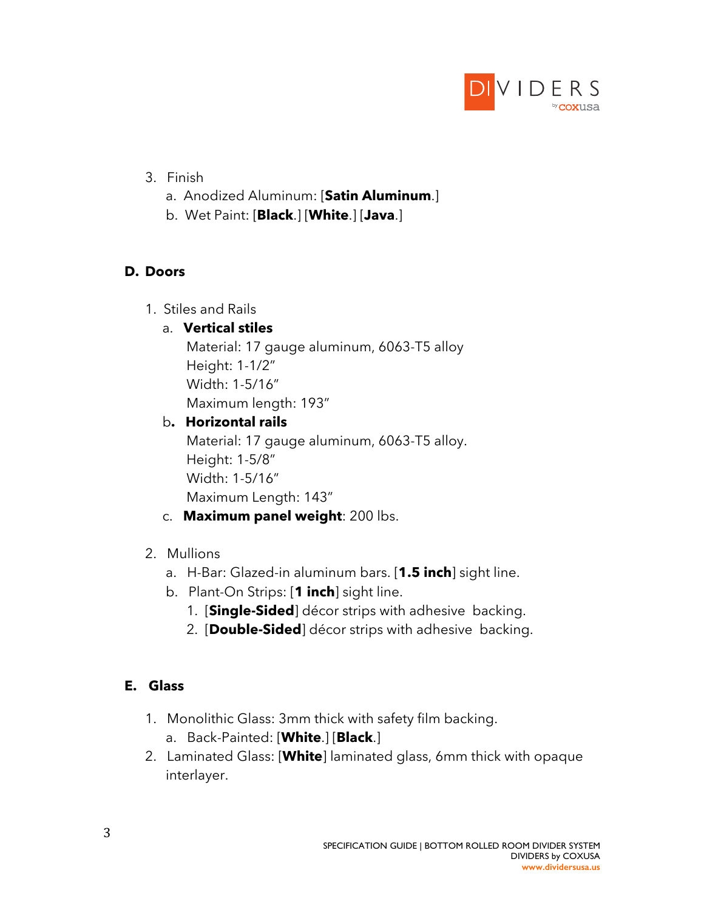

- 3. Finish
	- a. Anodized Aluminum: [**Satin Aluminum**.]
	- b. Wet Paint: [**Black**.] [**White**.] [**Java**.]

### **D. Doors**

1. Stiles and Rails

# a. **Vertical stiles**

Material: 17 gauge aluminum, 6063-T5 alloy Height: 1-1/2" Width: 1-5/16" Maximum length: 193"

# b**. Horizontal rails**

Material: 17 gauge aluminum, 6063-T5 alloy. Height: 1-5/8" Width: 1-5/16" Maximum Length: 143"

# c. **Maximum panel weight**: 200 lbs.

# 2. Mullions

- a. H-Bar: Glazed-in aluminum bars. [**1.5 inch**] sight line.
- b. Plant-On Strips: [**1 inch**] sight line.
	- 1. [**Single-Sided**] décor strips with adhesive backing.
	- 2. [**Double-Sided**] décor strips with adhesive backing.

# **E. Glass**

- 1. Monolithic Glass: 3mm thick with safety film backing. a. Back-Painted: [**White**.] [**Black**.]
- 2. Laminated Glass: [**White**] laminated glass, 6mm thick with opaque interlayer.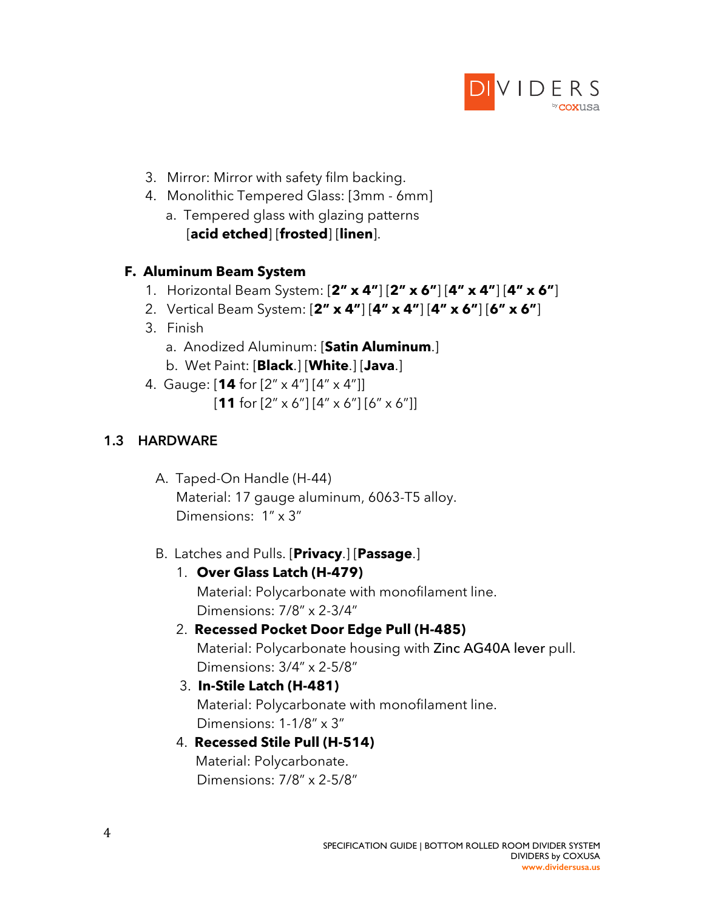

- 3. Mirror: Mirror with safety film backing.
- 4. Monolithic Tempered Glass: [3mm 6mm]
	- a. Tempered glass with glazing patterns [**acid etched**] [**frosted**] [**linen**].

#### **F. Aluminum Beam System**

- 1. Horizontal Beam System: [**2" x 4"**] [**2" x 6"**] [**4" x 4"**] [**4" x 6"**]
- 2. Vertical Beam System: [**2" x 4"**] [**4" x 4"**] [**4" x 6"**] [**6" x 6"**]
- 3. Finish
	- a. Anodized Aluminum: [**Satin Aluminum**.]
	- b. Wet Paint: [**Black**.] [**White**.] [**Java**.]
- 4. Gauge: [**14** for [2" x 4"] [4" x 4"]] [**11** for [2" x 6"] [4" x 6"] [6" x 6"]]

### **1.3 HARDWARE**

 A. Taped-On Handle (H-44) Material: 17 gauge aluminum, 6063-T5 alloy. Dimensions: 1" x 3"

### B. Latches and Pulls. [**Privacy**.] [**Passage**.]

1. **Over Glass Latch (H-479)**

Material: Polycarbonate with monofilament line. Dimensions: 7/8" x 2-3/4"

- 2. **Recessed Pocket Door Edge Pull (H-485)** Material: Polycarbonate housing with Zinc AG40A lever pull. Dimensions: 3/4" x 2-5/8"
- 3. **In-Stile Latch (H-481)** Material: Polycarbonate with monofilament line. Dimensions: 1-1/8" x 3"
- 4. **Recessed Stile Pull (H-514)** Material: Polycarbonate. Dimensions: 7/8" x 2-5/8"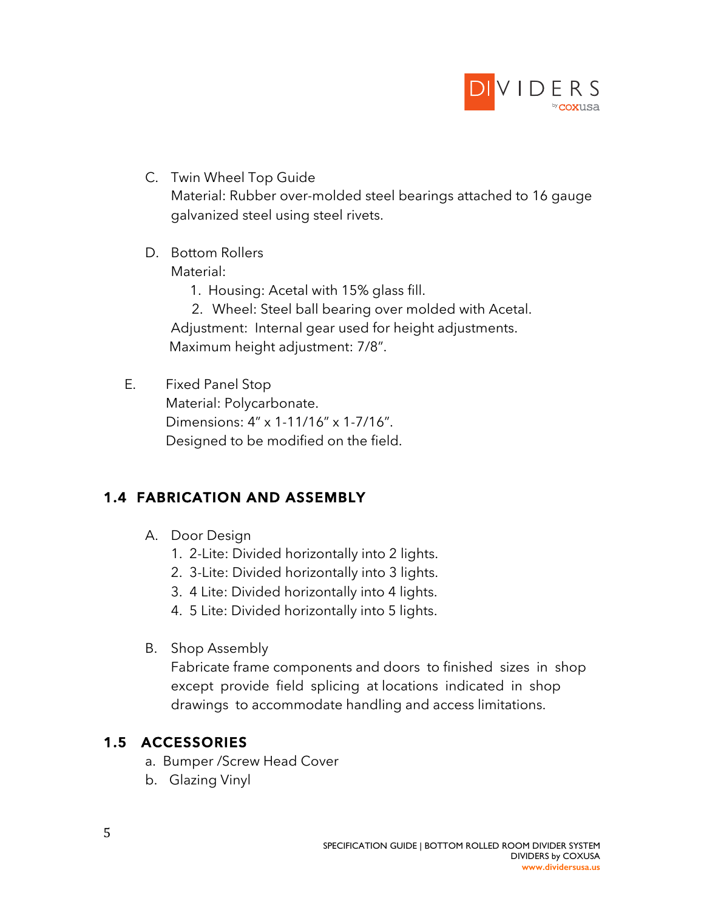

- C. Twin Wheel Top Guide Material: Rubber over-molded steel bearings attached to 16 gauge galvanized steel using steel rivets.
- D. Bottom Rollers

Material:

1. Housing: Acetal with 15% glass fill.

2. Wheel: Steel ball bearing over molded with Acetal. Adjustment: Internal gear used for height adjustments. Maximum height adjustment: 7/8".

E. Fixed Panel Stop

Material: Polycarbonate. Dimensions: 4" x 1-11/16" x 1-7/16". Designed to be modified on the field.

# **1.4 FABRICATION AND ASSEMBLY**

- A. Door Design
	- 1. 2-Lite: Divided horizontally into 2 lights.
	- 2. 3-Lite: Divided horizontally into 3 lights.
	- 3. 4 Lite: Divided horizontally into 4 lights.
	- 4. 5 Lite: Divided horizontally into 5 lights.
- B. Shop Assembly

Fabricate frame components and doors to finished sizes in shop except provide field splicing at locations indicated in shop drawings to accommodate handling and access limitations.

# **1.5 ACCESSORIES**

- a. Bumper /Screw Head Cover
- b. Glazing Vinyl